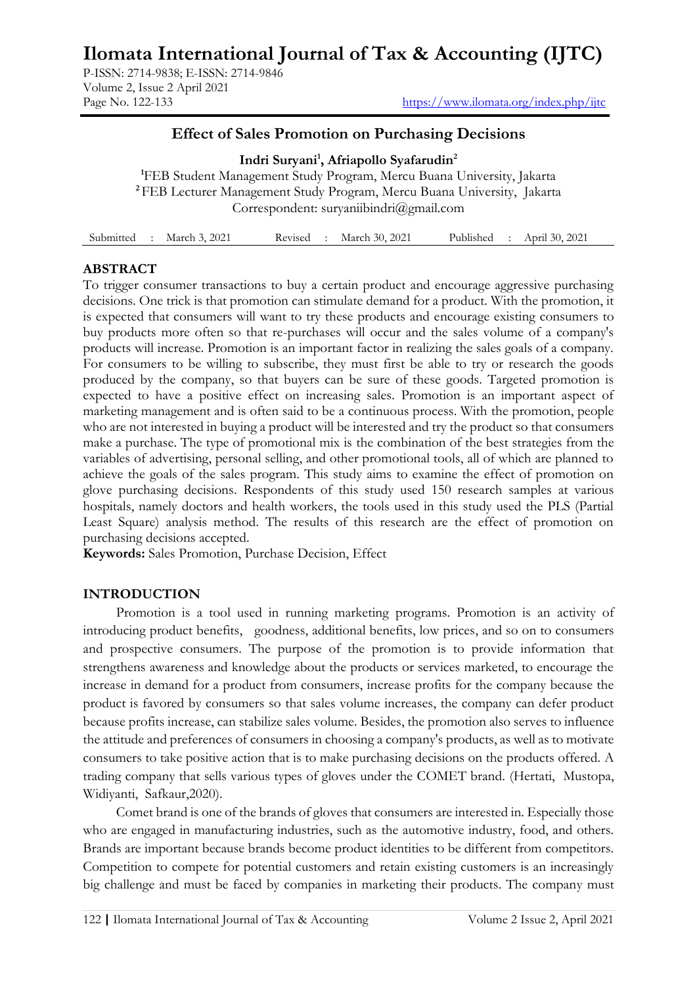# **Ilomata International Journal of Tax & Accounting (IJTC)**

P-ISSN: 2714-9838; E-ISSN: 2714-9846 Volume 2, Issue 2 April 2021

## **Effect of Sales Promotion on Purchasing Decisions**

**Indri Suryani<sup>1</sup> , Afriapollo Syafarudin<sup>2</sup> <sup>1</sup>**FEB Student Management Study Program, Mercu Buana University, Jakarta **<sup>2</sup>**FEB Lecturer Management Study Program, Mercu Buana University, Jakarta Correspondent: [suryaniibindri@gmail.com](mailto:suryaniibindri@gmail.com) 

|  | Submitted : March 3, 2021 | Revised | March 30, 2021 | Published | : April 30, 2021 |  |
|--|---------------------------|---------|----------------|-----------|------------------|--|
|  |                           |         |                |           |                  |  |

## **ABSTRACT**

To trigger consumer transactions to buy a certain product and encourage aggressive purchasing decisions. One trick is that promotion can stimulate demand for a product. With the promotion, it is expected that consumers will want to try these products and encourage existing consumers to buy products more often so that re-purchases will occur and the sales volume of a company's products will increase. Promotion is an important factor in realizing the sales goals of a company. For consumers to be willing to subscribe, they must first be able to try or research the goods produced by the company, so that buyers can be sure of these goods. Targeted promotion is expected to have a positive effect on increasing sales. Promotion is an important aspect of marketing management and is often said to be a continuous process. With the promotion, people who are not interested in buying a product will be interested and try the product so that consumers make a purchase. The type of promotional mix is the combination of the best strategies from the variables of advertising, personal selling, and other promotional tools, all of which are planned to achieve the goals of the sales program. This study aims to examine the effect of promotion on glove purchasing decisions. Respondents of this study used 150 research samples at various hospitals, namely doctors and health workers, the tools used in this study used the PLS (Partial Least Square) analysis method. The results of this research are the effect of promotion on purchasing decisions accepted.

**Keywords:** Sales Promotion, Purchase Decision, Effect

## **INTRODUCTION**

Promotion is a tool used in running marketing programs. Promotion is an activity of introducing product benefits, goodness, additional benefits, low prices, and so on to consumers and prospective consumers. The purpose of the promotion is to provide information that strengthens awareness and knowledge about the products or services marketed, to encourage the increase in demand for a product from consumers, increase profits for the company because the product is favored by consumers so that sales volume increases, the company can defer product because profits increase, can stabilize sales volume. Besides, the promotion also serves to influence the attitude and preferences of consumers in choosing a company's products, as well as to motivate consumers to take positive action that is to make purchasing decisions on the products offered. A trading company that sells various types of gloves under the COMET brand. (Hertati, Mustopa, Widiyanti, Safkaur,2020).

Comet brand is one of the brands of gloves that consumers are interested in. Especially those who are engaged in manufacturing industries, such as the automotive industry, food, and others. Brands are important because brands become product identities to be different from competitors. Competition to compete for potential customers and retain existing customers is an increasingly big challenge and must be faced by companies in marketing their products. The company must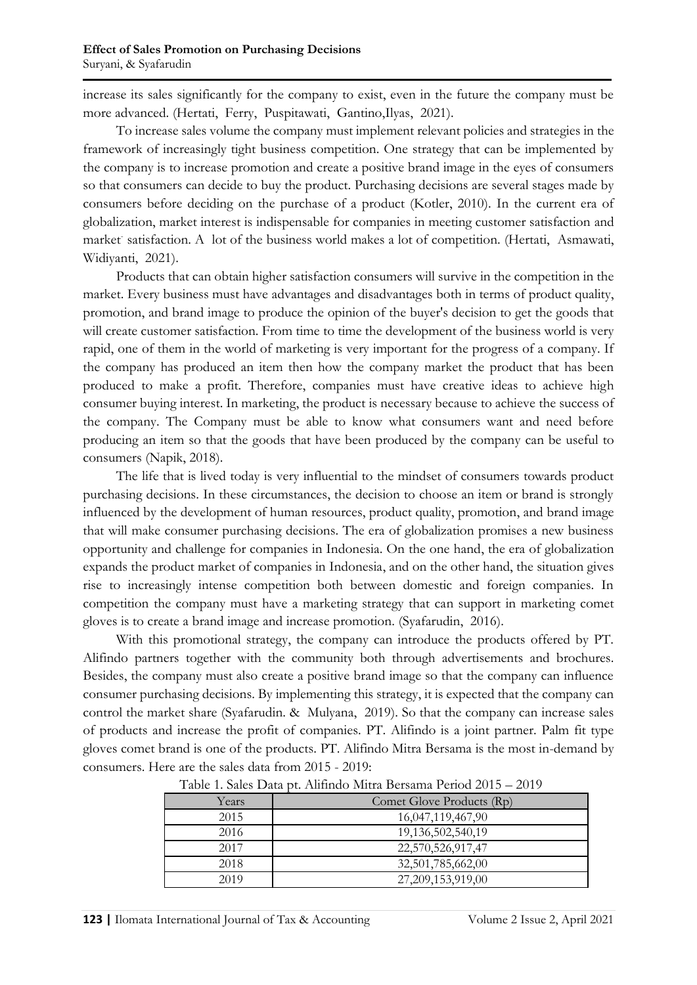increase its sales significantly for the company to exist, even in the future the company must be more advanced. (Hertati, Ferry, Puspitawati, Gantino,Ilyas, 2021).

To increase sales volume the company must implement relevant policies and strategies in the framework of increasingly tight business competition. One strategy that can be implemented by the company is to increase promotion and create a positive brand image in the eyes of consumers so that consumers can decide to buy the product. Purchasing decisions are several stages made by consumers before deciding on the purchase of a product (Kotler, 2010). In the current era of globalization, market interest is indispensable for companies in meeting customer satisfaction and market satisfaction. A lot of the business world makes a lot of competition. (Hertati, Asmawati, Widiyanti, 2021).

Products that can obtain higher satisfaction consumers will survive in the competition in the market. Every business must have advantages and disadvantages both in terms of product quality, promotion, and brand image to produce the opinion of the buyer's decision to get the goods that will create customer satisfaction. From time to time the development of the business world is very rapid, one of them in the world of marketing is very important for the progress of a company. If the company has produced an item then how the company market the product that has been produced to make a profit. Therefore, companies must have creative ideas to achieve high consumer buying interest. In marketing, the product is necessary because to achieve the success of the company. The Company must be able to know what consumers want and need before producing an item so that the goods that have been produced by the company can be useful to consumers (Napik, 2018).

The life that is lived today is very influential to the mindset of consumers towards product purchasing decisions. In these circumstances, the decision to choose an item or brand is strongly influenced by the development of human resources, product quality, promotion, and brand image that will make consumer purchasing decisions. The era of globalization promises a new business opportunity and challenge for companies in Indonesia. On the one hand, the era of globalization expands the product market of companies in Indonesia, and on the other hand, the situation gives rise to increasingly intense competition both between domestic and foreign companies. In competition the company must have a marketing strategy that can support in marketing comet gloves is to create a brand image and increase promotion. (Syafarudin, 2016).

With this promotional strategy, the company can introduce the products offered by PT. Alifindo partners together with the community both through advertisements and brochures. Besides, the company must also create a positive brand image so that the company can influence consumer purchasing decisions. By implementing this strategy, it is expected that the company can control the market share (Syafarudin. & Mulyana, 2019). So that the company can increase sales of products and increase the profit of companies. PT. Alifindo is a joint partner. Palm fit type gloves comet brand is one of the products. PT. Alifindo Mitra Bersama is the most in-demand by consumers. Here are the sales data from 2015 - 2019:

| Years | Comet Glove Products (Rp) |
|-------|---------------------------|
| 2015  | 16,047,119,467,90         |
| 2016  | 19, 136, 502, 540, 19     |
| 2017  | 22,570,526,917,47         |
| 2018  | 32,501,785,662,00         |
| 2019  | 27,209,153,919,00         |

Table 1. Sales Data pt. Alifindo Mitra Bersama Period 2015 – 2019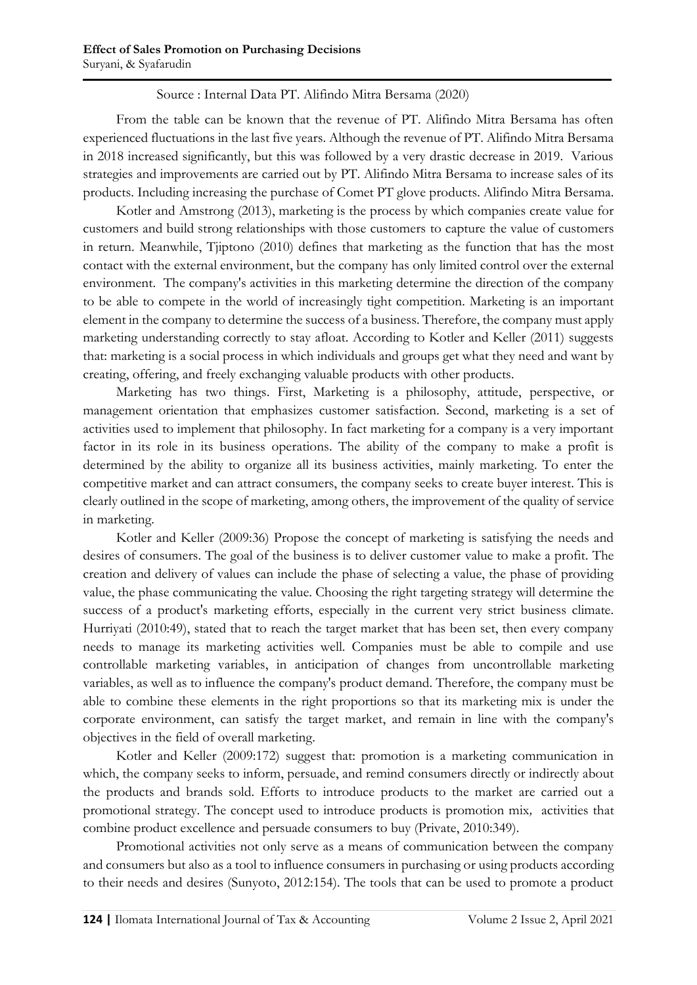## Source : Internal Data PT. Alifindo Mitra Bersama (2020)

From the table can be known that the revenue of PT. Alifindo Mitra Bersama has often experienced fluctuations in the last five years. Although the revenue of PT. Alifindo Mitra Bersama in 2018 increased significantly, but this was followed by a very drastic decrease in 2019. Various strategies and improvements are carried out by PT. Alifindo Mitra Bersama to increase sales of its products. Including increasing the purchase of Comet PT glove products. Alifindo Mitra Bersama.

Kotler and Amstrong (2013), marketing is the process by which companies create value for customers and build strong relationships with those customers to capture the value of customers in return. Meanwhile, Tjiptono (2010) defines that marketing as the function that has the most contact with the external environment, but the company has only limited control over the external environment. The company's activities in this marketing determine the direction of the company to be able to compete in the world of increasingly tight competition. Marketing is an important element in the company to determine the success of a business. Therefore, the company must apply marketing understanding correctly to stay afloat. According to Kotler and Keller (2011) suggests that: marketing is a social process in which individuals and groups get what they need and want by creating, offering, and freely exchanging valuable products with other products.

Marketing has two things. First, Marketing is a philosophy, attitude, perspective, or management orientation that emphasizes customer satisfaction. Second, marketing is a set of activities used to implement that philosophy. In fact marketing for a company is a very important factor in its role in its business operations. The ability of the company to make a profit is determined by the ability to organize all its business activities, mainly marketing. To enter the competitive market and can attract consumers, the company seeks to create buyer interest. This is clearly outlined in the scope of marketing, among others, the improvement of the quality of service in marketing.

Kotler and Keller (2009:36) Propose the concept of marketing is satisfying the needs and desires of consumers. The goal of the business is to deliver customer value to make a profit. The creation and delivery of values can include the phase of selecting a value, the phase of providing value, the phase communicating the value. Choosing the right targeting strategy will determine the success of a product's marketing efforts, especially in the current very strict business climate. Hurriyati (2010:49), stated that to reach the target market that has been set, then every company needs to manage its marketing activities well. Companies must be able to compile and use controllable marketing variables, in anticipation of changes from uncontrollable marketing variables, as well as to influence the company's product demand. Therefore, the company must be able to combine these elements in the right proportions so that its marketing mix is under the corporate environment, can satisfy the target market, and remain in line with the company's objectives in the field of overall marketing.

Kotler and Keller (2009:172) suggest that: promotion is a marketing communication in which, the company seeks to inform, persuade, and remind consumers directly or indirectly about the products and brands sold. Efforts to introduce products to the market are carried out a promotional strategy. The concept used to introduce products is promotion mix*,* activities that combine product excellence and persuade consumers to buy (Private, 2010:349).

Promotional activities not only serve as a means of communication between the company and consumers but also as a tool to influence consumers in purchasing or using products according to their needs and desires (Sunyoto, 2012:154). The tools that can be used to promote a product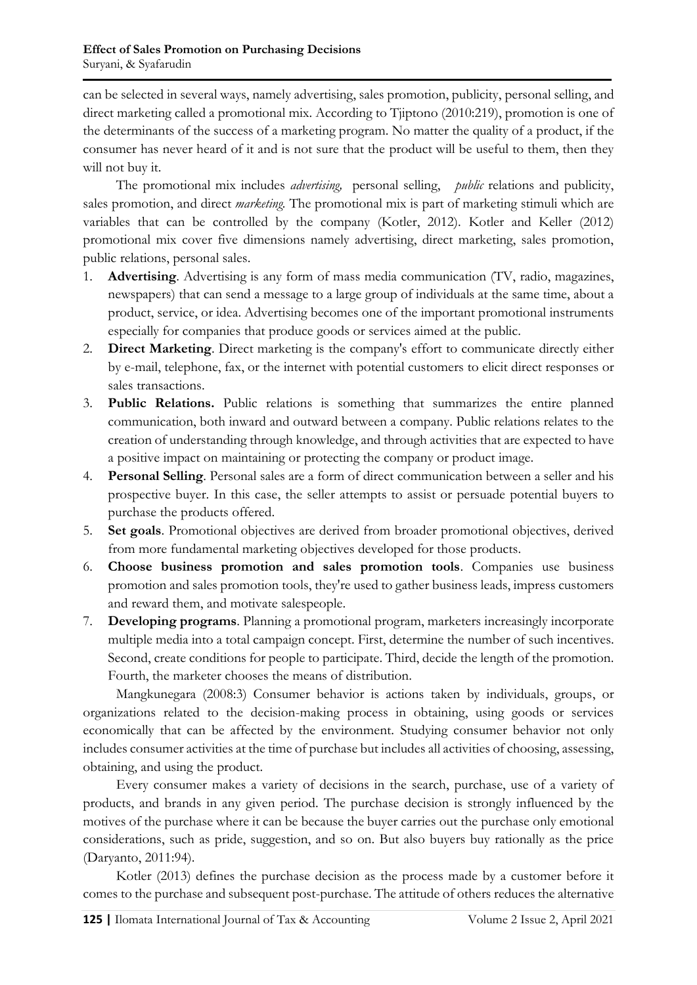can be selected in several ways, namely advertising, sales promotion, publicity, personal selling, and direct marketing called a promotional mix. According to Tjiptono (2010:219), promotion is one of the determinants of the success of a marketing program. No matter the quality of a product, if the consumer has never heard of it and is not sure that the product will be useful to them, then they will not buy it.

The promotional mix includes *advertising,* personal selling, *public* relations and publicity, sales promotion, and direct *marketing.* The promotional mix is part of marketing stimuli which are variables that can be controlled by the company (Kotler, 2012). Kotler and Keller (2012) promotional mix cover five dimensions namely advertising, direct marketing, sales promotion, public relations, personal sales.

- 1. **Advertising**. Advertising is any form of mass media communication (TV, radio, magazines, newspapers) that can send a message to a large group of individuals at the same time, about a product, service, or idea. Advertising becomes one of the important promotional instruments especially for companies that produce goods or services aimed at the public.
- 2. **Direct Marketing**. Direct marketing is the company's effort to communicate directly either by e-mail, telephone, fax, or the internet with potential customers to elicit direct responses or sales transactions.
- 3. **Public Relations.** Public relations is something that summarizes the entire planned communication, both inward and outward between a company. Public relations relates to the creation of understanding through knowledge, and through activities that are expected to have a positive impact on maintaining or protecting the company or product image.
- 4. **Personal Selling**. Personal sales are a form of direct communication between a seller and his prospective buyer. In this case, the seller attempts to assist or persuade potential buyers to purchase the products offered.
- 5. **Set goals**. Promotional objectives are derived from broader promotional objectives, derived from more fundamental marketing objectives developed for those products.
- 6. **Choose business promotion and sales promotion tools**. Companies use business promotion and sales promotion tools, they're used to gather business leads, impress customers and reward them, and motivate salespeople.
- 7. **Developing programs**. Planning a promotional program, marketers increasingly incorporate multiple media into a total campaign concept. First, determine the number of such incentives. Second, create conditions for people to participate. Third, decide the length of the promotion. Fourth, the marketer chooses the means of distribution.

Mangkunegara (2008:3) Consumer behavior is actions taken by individuals, groups, or organizations related to the decision-making process in obtaining, using goods or services economically that can be affected by the environment. Studying consumer behavior not only includes consumer activities at the time of purchase but includes all activities of choosing, assessing, obtaining, and using the product.

Every consumer makes a variety of decisions in the search, purchase, use of a variety of products, and brands in any given period. The purchase decision is strongly influenced by the motives of the purchase where it can be because the buyer carries out the purchase only emotional considerations, such as pride, suggestion, and so on. But also buyers buy rationally as the price (Daryanto, 2011:94).

Kotler (2013) defines the purchase decision as the process made by a customer before it comes to the purchase and subsequent post-purchase. The attitude of others reduces the alternative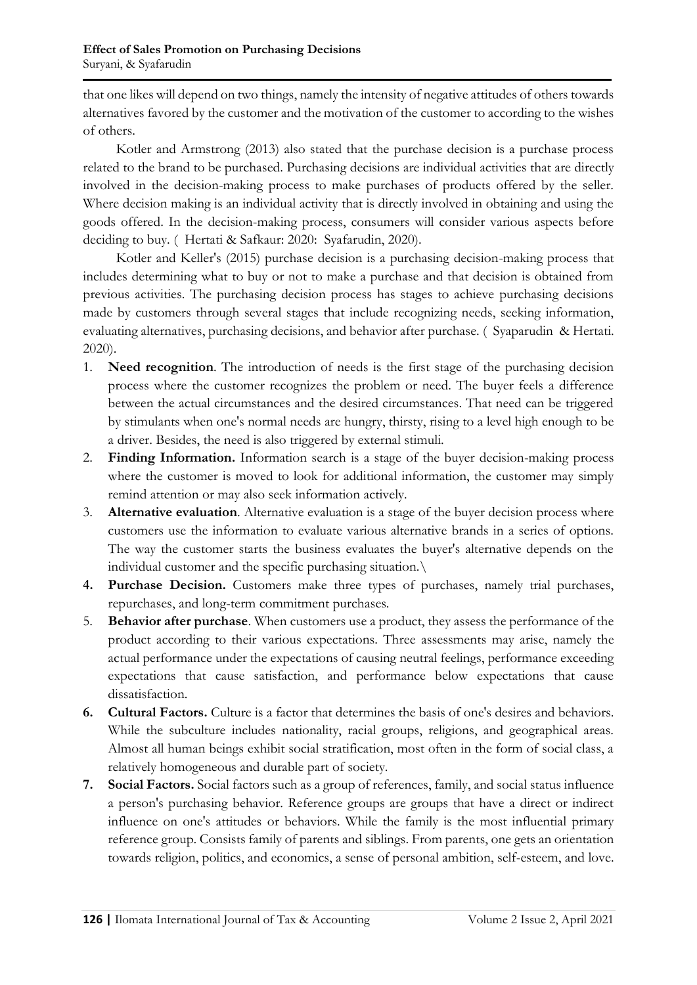that one likes will depend on two things, namely the intensity of negative attitudes of others towards alternatives favored by the customer and the motivation of the customer to according to the wishes of others.

Kotler and Armstrong (2013) also stated that the purchase decision is a purchase process related to the brand to be purchased. Purchasing decisions are individual activities that are directly involved in the decision-making process to make purchases of products offered by the seller. Where decision making is an individual activity that is directly involved in obtaining and using the goods offered. In the decision-making process, consumers will consider various aspects before deciding to buy. ( Hertati & Safkaur: 2020: Syafarudin, 2020).

Kotler and Keller's (2015) purchase decision is a purchasing decision-making process that includes determining what to buy or not to make a purchase and that decision is obtained from previous activities. The purchasing decision process has stages to achieve purchasing decisions made by customers through several stages that include recognizing needs, seeking information, evaluating alternatives, purchasing decisions, and behavior after purchase. ( Syaparudin & Hertati. 2020).

- 1. **Need recognition**. The introduction of needs is the first stage of the purchasing decision process where the customer recognizes the problem or need. The buyer feels a difference between the actual circumstances and the desired circumstances. That need can be triggered by stimulants when one's normal needs are hungry, thirsty, rising to a level high enough to be a driver. Besides, the need is also triggered by external stimuli.
- 2. **Finding Information.** Information search is a stage of the buyer decision-making process where the customer is moved to look for additional information, the customer may simply remind attention or may also seek information actively.
- 3. **Alternative evaluation**. Alternative evaluation is a stage of the buyer decision process where customers use the information to evaluate various alternative brands in a series of options. The way the customer starts the business evaluates the buyer's alternative depends on the individual customer and the specific purchasing situation.\
- **4. Purchase Decision.** Customers make three types of purchases, namely trial purchases, repurchases, and long-term commitment purchases.
- 5. **Behavior after purchase**. When customers use a product, they assess the performance of the product according to their various expectations. Three assessments may arise, namely the actual performance under the expectations of causing neutral feelings, performance exceeding expectations that cause satisfaction, and performance below expectations that cause dissatisfaction.
- **6. Cultural Factors.** Culture is a factor that determines the basis of one's desires and behaviors. While the subculture includes nationality, racial groups, religions, and geographical areas. Almost all human beings exhibit social stratification, most often in the form of social class, a relatively homogeneous and durable part of society.
- **7. Social Factors.** Social factors such as a group of references, family, and social status influence a person's purchasing behavior. Reference groups are groups that have a direct or indirect influence on one's attitudes or behaviors. While the family is the most influential primary reference group. Consists family of parents and siblings. From parents, one gets an orientation towards religion, politics, and economics, a sense of personal ambition, self-esteem, and love.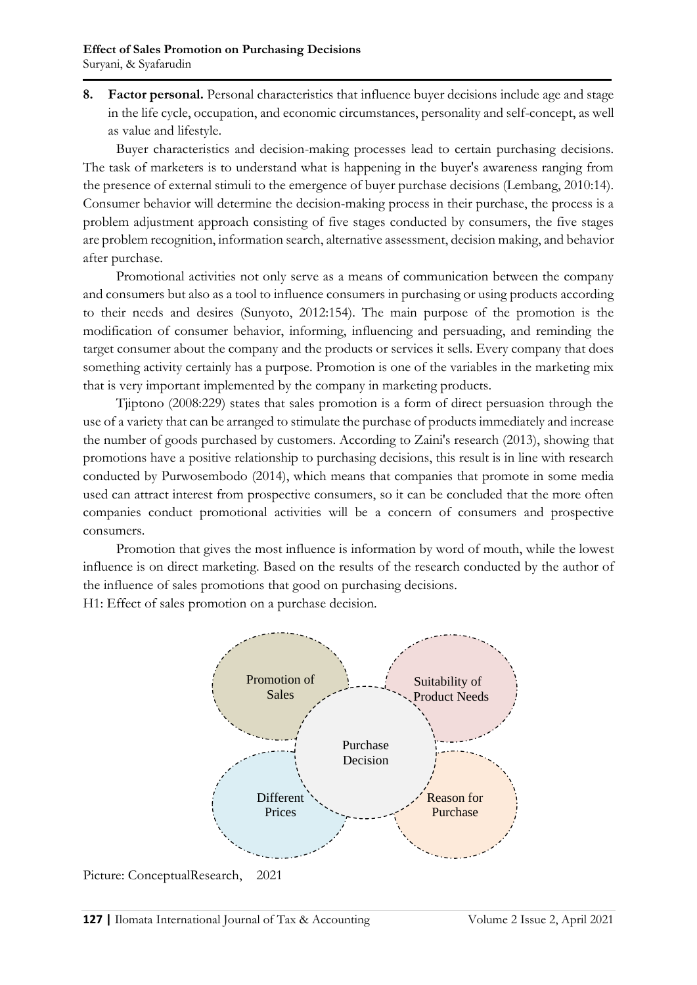**8. Factor personal.** Personal characteristics that influence buyer decisions include age and stage in the life cycle, occupation, and economic circumstances, personality and self-concept, as well as value and lifestyle.

Buyer characteristics and decision-making processes lead to certain purchasing decisions. The task of marketers is to understand what is happening in the buyer's awareness ranging from the presence of external stimuli to the emergence of buyer purchase decisions (Lembang, 2010:14). Consumer behavior will determine the decision-making process in their purchase, the process is a problem adjustment approach consisting of five stages conducted by consumers, the five stages are problem recognition, information search, alternative assessment, decision making, and behavior after purchase.

Promotional activities not only serve as a means of communication between the company and consumers but also as a tool to influence consumers in purchasing or using products according to their needs and desires (Sunyoto, 2012:154). The main purpose of the promotion is the modification of consumer behavior, informing, influencing and persuading, and reminding the target consumer about the company and the products or services it sells. Every company that does something activity certainly has a purpose. Promotion is one of the variables in the marketing mix that is very important implemented by the company in marketing products.

Tjiptono (2008:229) states that sales promotion is a form of direct persuasion through the use of a variety that can be arranged to stimulate the purchase of products immediately and increase the number of goods purchased by customers. According to Zaini's research (2013), showing that promotions have a positive relationship to purchasing decisions, this result is in line with research conducted by Purwosembodo (2014), which means that companies that promote in some media used can attract interest from prospective consumers, so it can be concluded that the more often companies conduct promotional activities will be a concern of consumers and prospective consumers.

Promotion that gives the most influence is information by word of mouth, while the lowest influence is on direct marketing. Based on the results of the research conducted by the author of the influence of sales promotions that good on purchasing decisions.

H1: Effect of sales promotion on a purchase decision.



Picture: ConceptualResearch, 2021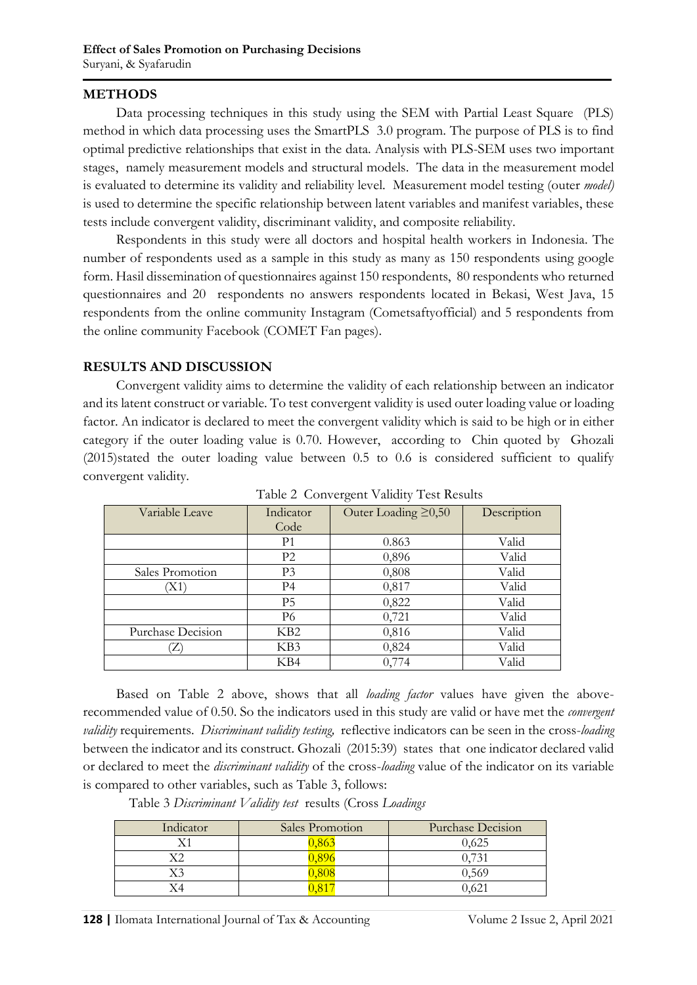#### **METHODS**

Data processing techniques in this study using the SEM with Partial Least Square (PLS) method in which data processing uses the SmartPLS 3.0 program. The purpose of PLS is to find optimal predictive relationships that exist in the data. Analysis with PLS-SEM uses two important stages, namely measurement models and structural models. The data in the measurement model is evaluated to determine its validity and reliability level. Measurement model testing (outer *model)* is used to determine the specific relationship between latent variables and manifest variables, these tests include convergent validity, discriminant validity, and composite reliability.

Respondents in this study were all doctors and hospital health workers in Indonesia. The number of respondents used as a sample in this study as many as 150 respondents using google form. Hasil dissemination of questionnaires against 150 respondents, 80 respondents who returned questionnaires and 20 respondents no answers respondents located in Bekasi, West Java, 15 respondents from the online community Instagram (Cometsaftyofficial) and 5 respondents from the online community Facebook (COMET Fan pages).

#### **RESULTS AND DISCUSSION**

Convergent validity aims to determine the validity of each relationship between an indicator and its latent construct or variable. To test convergent validity is used outer loading value or loading factor. An indicator is declared to meet the convergent validity which is said to be high or in either category if the outer loading value is 0.70. However, according to Chin quoted by Ghozali (2015)stated the outer loading value between 0.5 to 0.6 is considered sufficient to qualify convergent validity.

| Variable Leave    | Indicator<br>Code | Outer Loading $\geq 0,50$ | Description |
|-------------------|-------------------|---------------------------|-------------|
|                   |                   |                           |             |
|                   | P <sub>1</sub>    | 0.863                     | Valid       |
|                   | P <sub>2</sub>    | 0,896                     | Valid       |
| Sales Promotion   | P <sub>3</sub>    | 0,808                     | Valid       |
| 'X1               | P <sub>4</sub>    | 0,817                     | Valid       |
|                   | P <sub>5</sub>    | 0,822                     | Valid       |
|                   | P <sub>6</sub>    | 0,721                     | Valid       |
| Purchase Decision | KB <sub>2</sub>   | 0,816                     | Valid       |
|                   | KB3               | 0,824                     | Valid       |
|                   | KB4               | 0,774                     | Valid       |

Table 2 Convergent Validity Test Results

Based on Table 2 above, shows that all *loading factor* values have given the aboverecommended value of 0.50. So the indicators used in this study are valid or have met the *convergent validity* requirements. *Discriminant validity testing,* reflective indicators can be seen in the cross-*loading*  between the indicator and its construct. Ghozali (2015:39) states that one indicator declared valid or declared to meet the *discriminant validity* of the cross-*loading* value of the indicator on its variable is compared to other variables, such as Table 3, follows:

Table 3 *Discriminant Validity test* results (Cross *Loadings*

| Indicator | Sales Promotion | <b>Purchase Decision</b> |  |  |
|-----------|-----------------|--------------------------|--|--|
|           |                 | 0,625                    |  |  |
|           |                 | 0.731                    |  |  |
|           |                 | 0.569                    |  |  |
|           |                 | 0.62                     |  |  |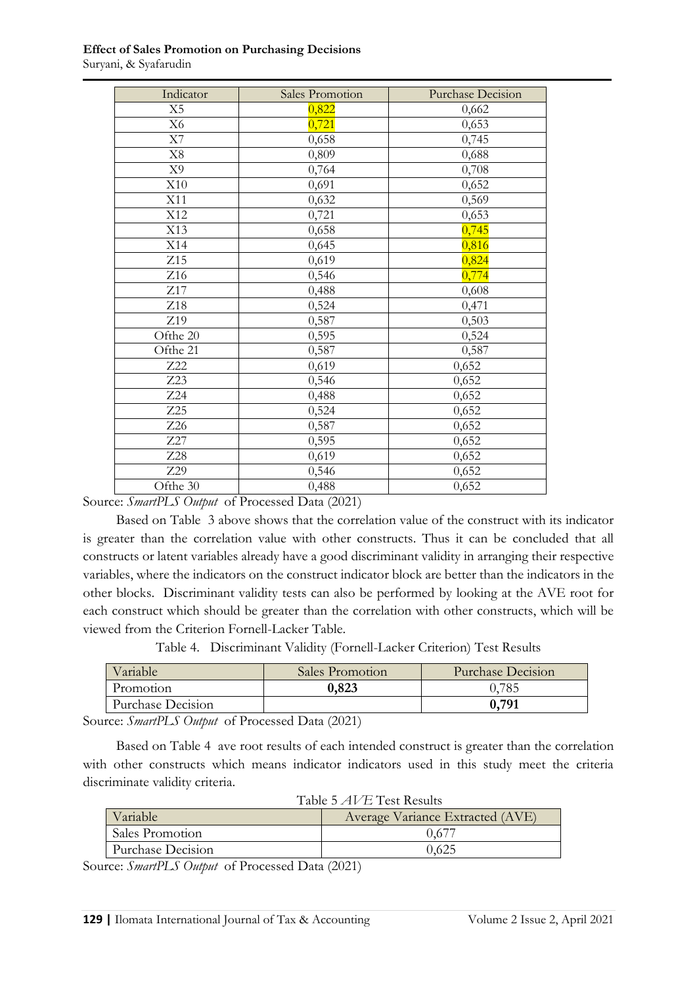| Indicator       | Sales Promotion | <b>Purchase Decision</b> |
|-----------------|-----------------|--------------------------|
| X5              | 0,822           | 0,662                    |
| X <sub>6</sub>  | 0,721           | 0,653                    |
| X7              | 0,658           | 0,745                    |
| $\rm X8$        | 0,809           | 0,688                    |
| X <sub>9</sub>  | 0,764           | 0,708                    |
| X10             | 0,691           | 0,652                    |
| X11             | 0,632           | 0,569                    |
| X12             | 0,721           | 0,653                    |
| X13             | 0,658           | 0,745                    |
| X14             | 0,645           | 0,816                    |
| Z15             | 0,619           | 0,824                    |
| Z <sub>16</sub> | 0,546           | 0,774                    |
| Z17             | 0,488           | 0,608                    |
| Z18             | 0,524           | 0,471                    |
| Z19             | 0,587           | 0,503                    |
| Ofthe 20        | 0,595           | 0,524                    |
| Ofthe 21        | 0,587           | 0,587                    |
| Z22             | 0,619           | 0,652                    |
| Z23             | 0,546           | 0,652                    |
| Z24             | 0,488           | 0,652                    |
| Z25             | 0,524           | 0,652                    |
| Z26             | 0,587           | 0,652                    |
| Z27             | 0,595           | 0,652                    |
| Z28             | 0,619           | 0,652                    |
| Z29             | 0,546           | 0,652                    |
| Ofthe 30        | 0,488           | 0,652                    |

#### **Effect of Sales Promotion on Purchasing Decisions** Suryani, & Syafarudin

Source: *SmartPLS Output* of Processed Data (2021)

Based on Table 3 above shows that the correlation value of the construct with its indicator is greater than the correlation value with other constructs. Thus it can be concluded that all constructs or latent variables already have a good discriminant validity in arranging their respective variables, where the indicators on the construct indicator block are better than the indicators in the other blocks. Discriminant validity tests can also be performed by looking at the AVE root for each construct which should be greater than the correlation with other constructs, which will be viewed from the Criterion Fornell-Lacker Table.

Table 4. Discriminant Validity (Fornell-Lacker Criterion) Test Results

| Variable          | Sales Promotion | <b>Purchase Decision</b> |  |
|-------------------|-----------------|--------------------------|--|
| Promotion         | 0,823           | J.785                    |  |
| Purchase Decision |                 | 0,791                    |  |

Source: *SmartPLS Output* of Processed Data (2021)

Based on Table 4 ave root results of each intended construct is greater than the correlation with other constructs which means indicator indicators used in this study meet the criteria discriminate validity criteria.

| Table 5 AV E Test Results |                                  |  |  |  |
|---------------------------|----------------------------------|--|--|--|
| Variable                  | Average Variance Extracted (AVE) |  |  |  |
| Sales Promotion           | 0.67                             |  |  |  |
| Purchase Decision         | 0.625                            |  |  |  |

Table 5 *AVE* Test Results

Source: *SmartPLS Output* of Processed Data (2021)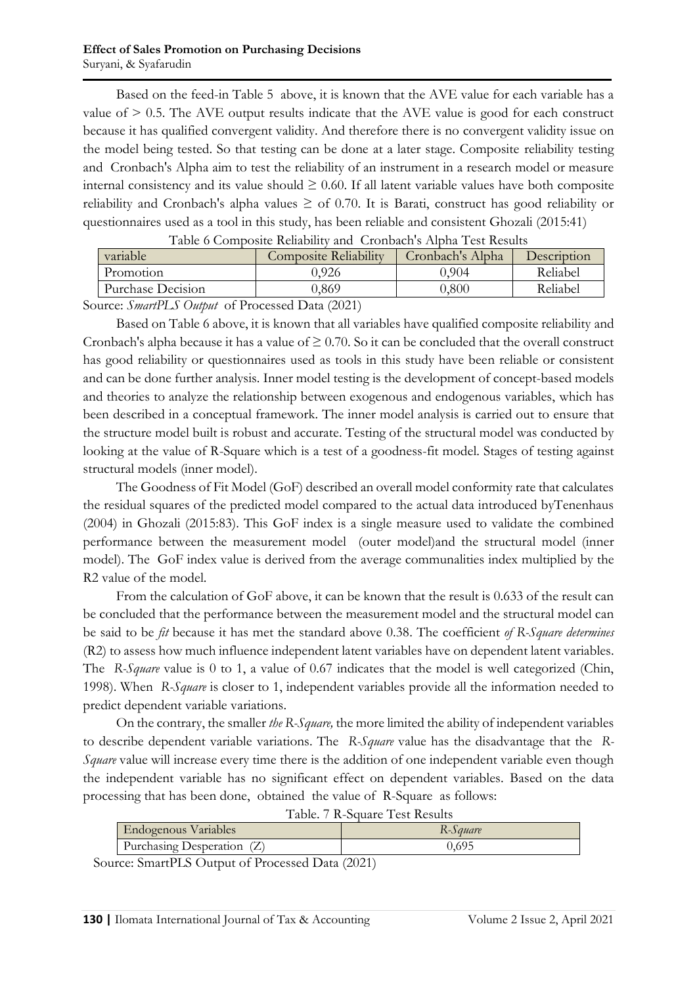Based on the feed-in Table 5 above, it is known that the AVE value for each variable has a value of > 0.5. The AVE output results indicate that the AVE value is good for each construct because it has qualified convergent validity. And therefore there is no convergent validity issue on the model being tested. So that testing can be done at a later stage. Composite reliability testing and Cronbach's Alpha aim to test the reliability of an instrument in a research model or measure internal consistency and its value should  $\geq 0.60$ . If all latent variable values have both composite reliability and Cronbach's alpha values  $\geq$  of 0.70. It is Barati, construct has good reliability or questionnaires used as a tool in this study, has been reliable and consistent Ghozali (2015:41)

| Table o Composite Reliability and Crombach's Applia Test Results    |                              |                  |             |  |  |  |
|---------------------------------------------------------------------|------------------------------|------------------|-------------|--|--|--|
| variable                                                            | <b>Composite Reliability</b> | Cronbach's Alpha | Description |  |  |  |
| Promotion                                                           | 0.926                        | 0.904            | Reliabel    |  |  |  |
| Purchase Decision                                                   | ).869                        | 9.800-           | Reliabel    |  |  |  |
| $-1$<br>$\sim$<br>$\sim$<br>$\sim$ $  \sim$ $\sim$<br>$\sim$ $\sim$ |                              |                  |             |  |  |  |

Table 6 Composite Reliability and Cronbach's Alpha Test Results

Source: *SmartPLS Output* of Processed Data (2021)

Based on Table 6 above, it is known that all variables have qualified composite reliability and Cronbach's alpha because it has a value of  $\geq$  0.70. So it can be concluded that the overall construct has good reliability or questionnaires used as tools in this study have been reliable or consistent and can be done further analysis. Inner model testing is the development of concept-based models and theories to analyze the relationship between exogenous and endogenous variables, which has been described in a conceptual framework. The inner model analysis is carried out to ensure that the structure model built is robust and accurate. Testing of the structural model was conducted by looking at the value of R-Square which is a test of a goodness-fit model. Stages of testing against structural models (inner model).

The Goodness of Fit Model (GoF) described an overall model conformity rate that calculates the residual squares of the predicted model compared to the actual data introduced byTenenhaus (2004) in Ghozali (2015:83). This GoF index is a single measure used to validate the combined performance between the measurement model (outer model)and the structural model (inner model). The GoF index value is derived from the average communalities index multiplied by the R2 value of the model.

From the calculation of GoF above, it can be known that the result is 0.633 of the result can be concluded that the performance between the measurement model and the structural model can be said to be *fit* because it has met the standard above 0.38. The coefficient *of R-Square determines* (R2) to assess how much influence independent latent variables have on dependent latent variables. The *R-Square* value is 0 to 1, a value of 0.67 indicates that the model is well categorized (Chin, 1998). When *R-Square* is closer to 1, independent variables provide all the information needed to predict dependent variable variations.

On the contrary, the smaller *the R-Square,* the more limited the ability of independent variables to describe dependent variable variations. The *R-Square* value has the disadvantage that the *R-Square* value will increase every time there is the addition of one independent variable even though the independent variable has no significant effect on dependent variables. Based on the data processing that has been done, obtained the value of R-Square as follows:

| Table. 7 R-Square Test Results |          |  |  |  |
|--------------------------------|----------|--|--|--|
| <b>Endogenous Variables</b>    | R-Square |  |  |  |
| Purchasing Desperation (Z)     | 0.695    |  |  |  |

Source: SmartPLS Output of Processed Data (2021)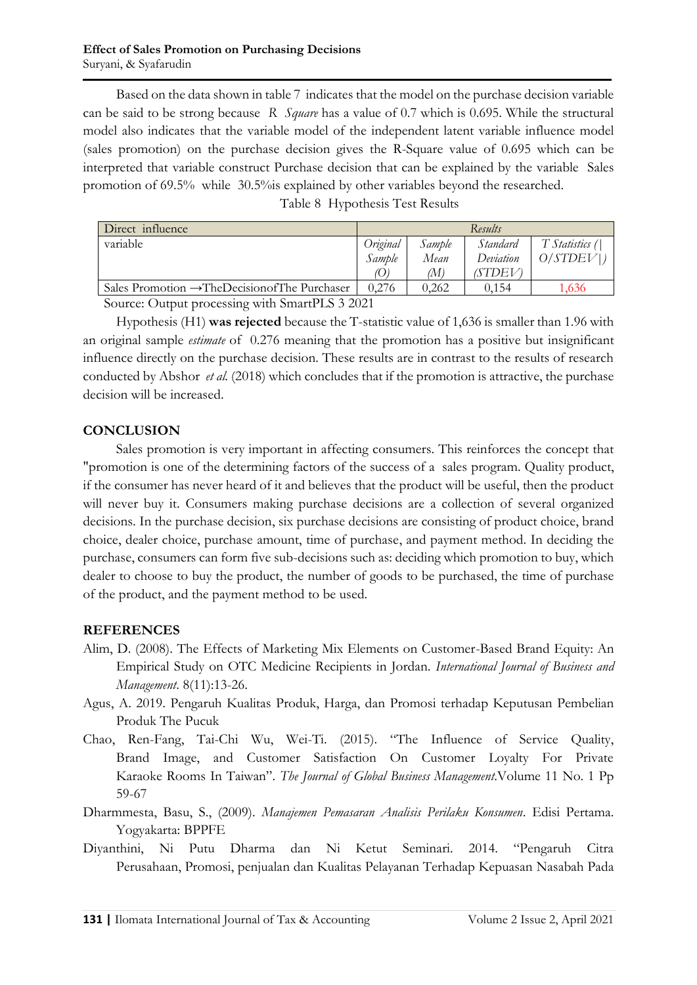Based on the data shown in table 7 indicates that the model on the purchase decision variable can be said to be strong because *R Square* has a value of 0.7 which is 0.695. While the structural model also indicates that the variable model of the independent latent variable influence model (sales promotion) on the purchase decision gives the R-Square value of 0.695 which can be interpreted that variable construct Purchase decision that can be explained by the variable Sales promotion of 69.5% while 30.5%is explained by other variables beyond the researched.

|  |  | Table 8 Hypothesis Test Results |
|--|--|---------------------------------|
|--|--|---------------------------------|

| Direct influence                                            |        | Results |           |                |  |
|-------------------------------------------------------------|--------|---------|-----------|----------------|--|
| variable<br>Original                                        |        | Sample  | Standard  | T Statistics ( |  |
|                                                             | Sample | Mean    | Deviation | O/STDEV        |  |
|                                                             |        | (M)     | (STDEV)   |                |  |
| Sales Promotion $\rightarrow$ The Decision of The Purchaser | 0.276  | 0.262   | 0.154     | 1.636          |  |

Source: Output processing with SmartPLS 3 2021

Hypothesis (H1) **was rejected** because the T-statistic value of 1,636 is smaller than 1.96 with an original sample *estimate* of 0.276 meaning that the promotion has a positive but insignificant influence directly on the purchase decision. These results are in contrast to the results of research conducted by Abshor *et al.* (2018) which concludes that if the promotion is attractive, the purchase decision will be increased.

## **CONCLUSION**

Sales promotion is very important in affecting consumers. This reinforces the concept that "promotion is one of the determining factors of the success of a sales program. Quality product, if the consumer has never heard of it and believes that the product will be useful, then the product will never buy it. Consumers making purchase decisions are a collection of several organized decisions. In the purchase decision, six purchase decisions are consisting of product choice, brand choice, dealer choice, purchase amount, time of purchase, and payment method. In deciding the purchase, consumers can form five sub-decisions such as: deciding which promotion to buy, which dealer to choose to buy the product, the number of goods to be purchased, the time of purchase of the product, and the payment method to be used.

#### **REFERENCES**

- Alim, D. (2008). The Effects of Marketing Mix Elements on Customer-Based Brand Equity: An Empirical Study on OTC Medicine Recipients in Jordan. *International Journal of Business and Management*. 8(11):13-26.
- Agus, A. 2019. Pengaruh Kualitas Produk, Harga, dan Promosi terhadap Keputusan Pembelian Produk The Pucuk
- Chao, Ren-Fang, Tai-Chi Wu, Wei-Ti. (2015). "The Influence of Service Quality, Brand Image, and Customer Satisfaction On Customer Loyalty For Private Karaoke Rooms In Taiwan". *The Journal of Global Business Management*.Volume 11 No. 1 Pp 59-67
- Dharmmesta, Basu, S., (2009). *Manajemen Pemasaran Analisis Perilaku Konsumen*. Edisi Pertama. Yogyakarta: BPPFE
- Diyanthini, Ni Putu Dharma dan Ni Ketut Seminari. 2014. "Pengaruh Citra Perusahaan, Promosi, penjualan dan Kualitas Pelayanan Terhadap Kepuasan Nasabah Pada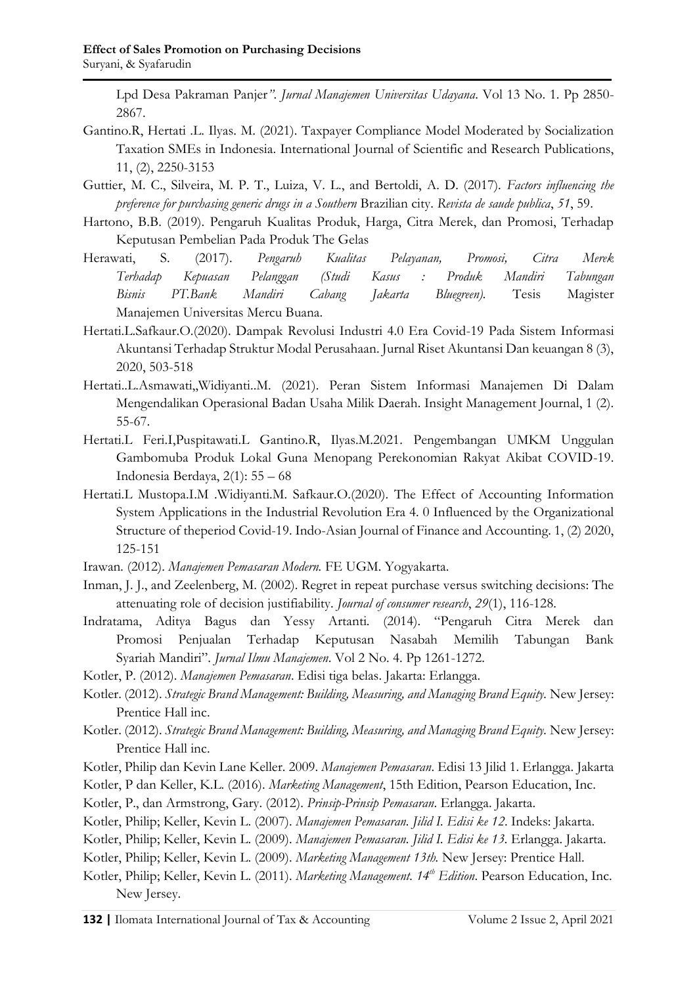Lpd Desa Pakraman Panjer*"*. *Jurnal Manajemen Universitas Udayana*. Vol 13 No. 1. Pp 2850- 2867.

- Gantino.R, Hertati .L. Ilyas. M. (2021). Taxpayer Compliance Model Moderated by Socialization Taxation SMEs in Indonesia. International Journal of Scientific and Research Publications, 11, (2), 2250-3153
- Guttier, M. C., Silveira, M. P. T., Luiza, V. L., and Bertoldi, A. D. (2017). *Factors influencing the preference for purchasing generic drugs in a Southern* Brazilian city. *Revista de saude publica*, *51*, 59.
- Hartono, B.B. (2019). Pengaruh Kualitas Produk, Harga, Citra Merek, dan Promosi, Terhadap Keputusan Pembelian Pada Produk The Gelas
- Herawati, S. (2017). *Pengaruh Kualitas Pelayanan, Promosi, Citra Merek Terhadap Kepuasan Pelanggan (Studi Kasus : Produk Mandiri Tabungan Bisnis PT.Bank Mandiri Cabang Jakarta Bluegreen).* Tesis Magister Manajemen Universitas Mercu Buana.
- Hertati.L.Safkaur.O.(2020). Dampak Revolusi Industri 4.0 Era Covid-19 Pada Sistem Informasi Akuntansi Terhadap Struktur Modal Perusahaan. Jurnal Riset Akuntansi Dan keuangan 8 (3), 2020, 503-518
- Hertati..L.Asmawati,,Widiyanti..M. (2021). Peran Sistem Informasi Manajemen Di Dalam Mengendalikan Operasional Badan Usaha Milik Daerah. Insight Management Journal, 1 (2). 55-67.
- Hertati.L Feri.I,Puspitawati.L Gantino.R, Ilyas.M.2021. Pengembangan UMKM Unggulan Gambomuba Produk Lokal Guna Menopang Perekonomian Rakyat Akibat COVID-19. Indonesia Berdaya, 2(1): 55 – 68
- Hertati.L Mustopa.I.M .Widiyanti.M. Safkaur.O.(2020). The Effect of Accounting Information System Applications in the Industrial Revolution Era 4. 0 Influenced by the Organizational Structure of theperiod Covid-19. Indo-Asian Journal of Finance and Accounting. 1, (2) 2020, 125-151
- Irawan*.* (2012). *Manajemen Pemasaran Modern.* FE UGM. Yogyakarta.
- Inman, J. J., and Zeelenberg, M. (2002). Regret in repeat purchase versus switching decisions: The attenuating role of decision justifiability. *Journal of consumer research*, *29*(1), 116-128.
- Indratama, Aditya Bagus dan Yessy Artanti. (2014). "Pengaruh Citra Merek dan Promosi Penjualan Terhadap Keputusan Nasabah Memilih Tabungan Bank Syariah Mandiri". *Jurnal Ilmu Manajemen*. Vol 2 No. 4. Pp 1261-1272.
- Kotler, P. (2012). *Manajemen Pemasaran*. Edisi tiga belas. Jakarta: Erlangga.
- Kotler. (2012). *Strategic Brand Management: Building, Measuring, and Managing Brand Equity.* New Jersey: Prentice Hall inc.
- Kotler. (2012). *Strategic Brand Management: Building, Measuring, and Managing Brand Equity.* New Jersey: Prentice Hall inc.
- Kotler, Philip dan Kevin Lane Keller. 2009. *Manajemen Pemasaran*. Edisi 13 Jilid 1. Erlangga. Jakarta
- Kotler, P dan Keller, K.L. (2016). *Marketing Management*, 15th Edition, Pearson Education, Inc.
- Kotler, P., dan Armstrong, Gary. (2012). *Prinsip-Prinsip Pemasaran*. Erlangga. Jakarta.
- Kotler, Philip; Keller, Kevin L. (2007). *Manajemen Pemasaran. Jilid I. Edisi ke 12*. Indeks: Jakarta.
- Kotler, Philip; Keller, Kevin L. (2009). *Manajemen Pemasaran. Jilid I. Edisi ke 13.* Erlangga. Jakarta.
- Kotler, Philip; Keller, Kevin L. (2009). *Marketing Management 13th.* New Jersey: Prentice Hall.
- Kotler, Philip; Keller, Kevin L. (2011). *Marketing Management. 14th Edition*. Pearson Education, Inc. New Jersey.